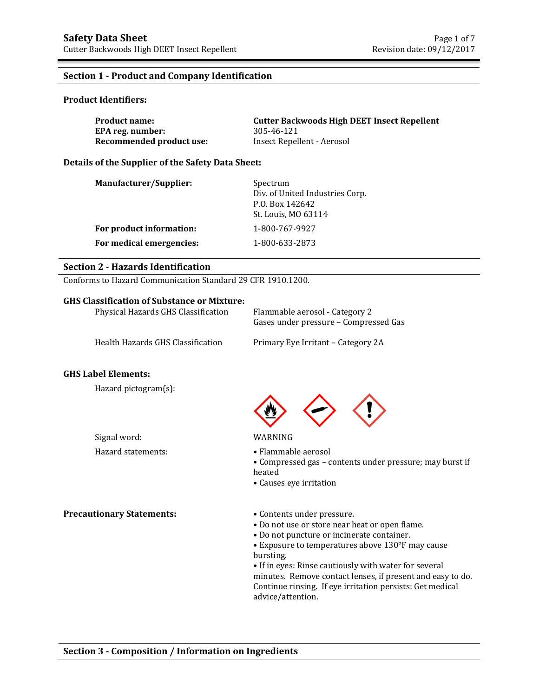### **Section 1 - Product and Company Identification**

### **Product Identifiers:**

| <b>Product name:</b>     | <b>Cutter Backwoods High DEET Insect Repellent</b> |
|--------------------------|----------------------------------------------------|
| EPA reg. number:         | 305-46-121                                         |
| Recommended product use: | Insect Repellent - Aerosol                         |

### **Details of the Supplier of the Safety Data Sheet:**

| <b>Manufacturer/Supplier:</b> | Spectrum<br>Div. of United Industries Corp.<br>P.O. Box 142642<br>St. Louis, MO 63114 |
|-------------------------------|---------------------------------------------------------------------------------------|
| For product information:      | 1-800-767-9927                                                                        |
| For medical emergencies:      | 1-800-633-2873                                                                        |

# **Section 2 - Hazards Identification**

Conforms to Hazard Communication Standard 29 CFR 1910.1200.

### **GHS Classification of Substance or Mixture:**

| Physical Hazards GHS Classification | Flammable aerosol - Category 2<br>Gases under pressure – Compressed Gas |
|-------------------------------------|-------------------------------------------------------------------------|
| Health Hazards GHS Classification   | Primary Eye Irritant – Category 2A                                      |

# **GHS Label Elements:**

Hazard pictogram(s):

Signal word: WARNING Hazard statements: • Flammable aerosol

• Compressed gas – contents under pressure; may burst if heated

• Causes eye irritation

### **Precautionary Statements:** • Contents under pressure.

- 
- Do not use or store near heat or open flame.
- Do not puncture or incinerate container.
- Exposure to temperatures above 130°F may cause bursting.

• If in eyes: Rinse cautiously with water for several minutes. Remove contact lenses, if present and easy to do. Continue rinsing. If eye irritation persists: Get medical advice/attention.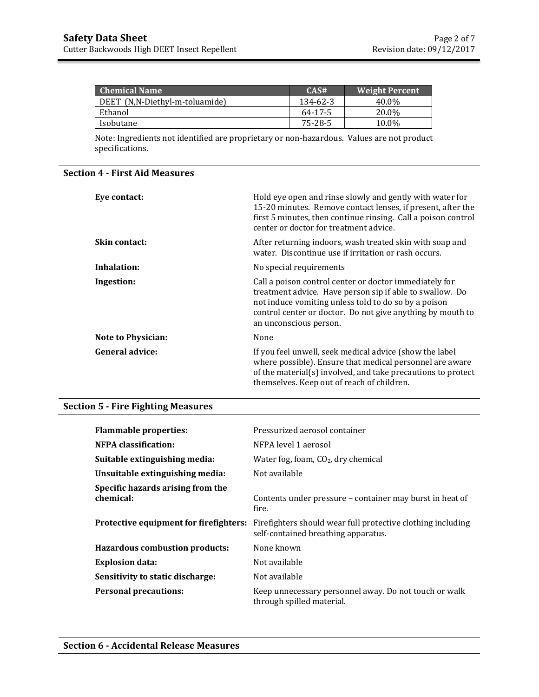| <b>Chemical Name</b>           | CAS#     | <b>Weight Percent</b> |
|--------------------------------|----------|-----------------------|
| DEET (N,N-Diethyl-m-toluamide) | 134-62-3 | 40.0%                 |
| Ethanol                        | 64-17-5  | 20.0%                 |
| Isobutane                      | 75-28-5  | 10.0%                 |

Note: Ingredients not identified are proprietary or non-hazardous. Values are not product specifications.

## **Section 4 - First Aid Measures**

| Eve contact:              | Hold eye open and rinse slowly and gently with water for<br>15-20 minutes. Remove contact lenses, if present, after the<br>first 5 minutes, then continue rinsing. Call a poison control<br>center or doctor for treatment advice.                                 |
|---------------------------|--------------------------------------------------------------------------------------------------------------------------------------------------------------------------------------------------------------------------------------------------------------------|
| <b>Skin contact:</b>      | After returning indoors, wash treated skin with soap and<br>water. Discontinue use if irritation or rash occurs.                                                                                                                                                   |
| Inhalation:               | No special requirements                                                                                                                                                                                                                                            |
| Ingestion:                | Call a poison control center or doctor immediately for<br>treatment advice. Have person sip if able to swallow. Do<br>not induce vomiting unless told to do so by a poison<br>control center or doctor. Do not give anything by mouth to<br>an unconscious person. |
| <b>Note to Physician:</b> | None                                                                                                                                                                                                                                                               |
| General advice:           | If you feel unwell, seek medical advice (show the label<br>where possible). Ensure that medical personnel are aware<br>of the material(s) involved, and take precautions to protect<br>themselves. Keep out of reach of children.                                  |

## **Section 5 - Fire Fighting Measures**

| <b>Flammable properties:</b>                   | Pressurized aerosol container                                                                      |
|------------------------------------------------|----------------------------------------------------------------------------------------------------|
| NFPA classification:                           | NFPA level 1 aerosol                                                                               |
| Suitable extinguishing media:                  | Water fog, foam, $CO2$ , dry chemical                                                              |
| Unsuitable extinguishing media:                | Not available                                                                                      |
| Specific hazards arising from the<br>chemical: | Contents under pressure - container may burst in heat of<br>fire.                                  |
| Protective equipment for firefighters:         | Firefighters should wear full protective clothing including<br>self-contained breathing apparatus. |
| <b>Hazardous combustion products:</b>          | None known                                                                                         |
| <b>Explosion data:</b>                         | Not available                                                                                      |
| Sensitivity to static discharge:               | Not available                                                                                      |
| <b>Personal precautions:</b>                   | Keep unnecessary personnel away. Do not touch or walk<br>through spilled material.                 |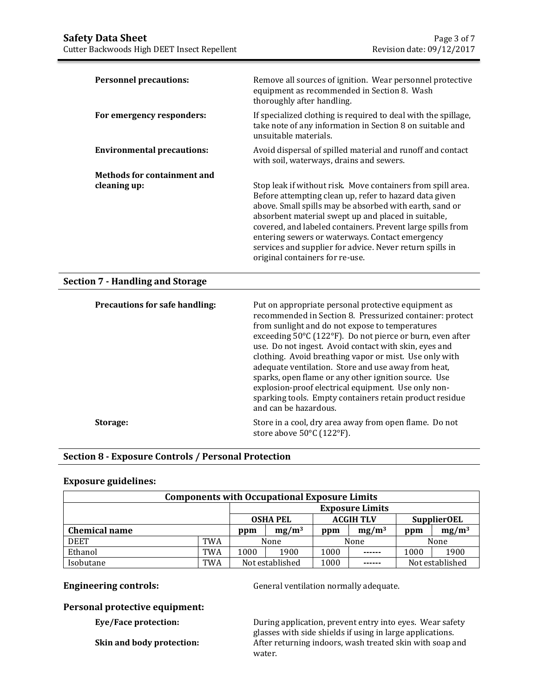| <b>Section 7 - Handling and Storage</b>            |                                                                                                                                                                                                                                                                                                                                                                                                                                                         |
|----------------------------------------------------|---------------------------------------------------------------------------------------------------------------------------------------------------------------------------------------------------------------------------------------------------------------------------------------------------------------------------------------------------------------------------------------------------------------------------------------------------------|
| <b>Methods for containment and</b><br>cleaning up: | Stop leak if without risk. Move containers from spill area.<br>Before attempting clean up, refer to hazard data given<br>above. Small spills may be absorbed with earth, sand or<br>absorbent material swept up and placed in suitable,<br>covered, and labeled containers. Prevent large spills from<br>entering sewers or waterways. Contact emergency<br>services and supplier for advice. Never return spills in<br>original containers for re-use. |
| <b>Environmental precautions:</b>                  | Avoid dispersal of spilled material and runoff and contact<br>with soil, waterways, drains and sewers.                                                                                                                                                                                                                                                                                                                                                  |
| For emergency responders:                          | If specialized clothing is required to deal with the spillage,<br>take note of any information in Section 8 on suitable and<br>unsuitable materials.                                                                                                                                                                                                                                                                                                    |
| <b>Personnel precautions:</b>                      | Remove all sources of ignition. Wear personnel protective<br>equipment as recommended in Section 8. Wash<br>thoroughly after handling.                                                                                                                                                                                                                                                                                                                  |

| <b>Precautions for safe handling:</b> | Put on appropriate personal protective equipment as<br>recommended in Section 8. Pressurized container: protect<br>from sunlight and do not expose to temperatures<br>exceeding 50°C (122°F). Do not pierce or burn, even after<br>use. Do not ingest. Avoid contact with skin, eyes and<br>clothing. Avoid breathing vapor or mist. Use only with<br>adequate ventilation. Store and use away from heat,<br>sparks, open flame or any other ignition source. Use<br>explosion-proof electrical equipment. Use only non-<br>sparking tools. Empty containers retain product residue<br>and can be hazardous. |
|---------------------------------------|--------------------------------------------------------------------------------------------------------------------------------------------------------------------------------------------------------------------------------------------------------------------------------------------------------------------------------------------------------------------------------------------------------------------------------------------------------------------------------------------------------------------------------------------------------------------------------------------------------------|
| Storage:                              | Store in a cool, dry area away from open flame. Do not<br>store above 50°C (122°F).                                                                                                                                                                                                                                                                                                                                                                                                                                                                                                                          |

# **Section 8 - Exposure Controls / Personal Protection**

## **Exposure guidelines:**

| <b>Components with Occupational Exposure Limits</b> |                 |                                                           |      |          |        |          |                 |
|-----------------------------------------------------|-----------------|-----------------------------------------------------------|------|----------|--------|----------|-----------------|
|                                                     |                 | <b>Exposure Limits</b>                                    |      |          |        |          |                 |
|                                                     |                 | <b>ACGIH TLV</b><br><b>SupplierOEL</b><br><b>OSHA PEL</b> |      |          |        |          |                 |
| <b>Chemical name</b>                                | $mg/m^3$<br>ppm |                                                           | ppm  | $mg/m^3$ | ppm    | $mg/m^3$ |                 |
| <b>DEET</b>                                         | TWA             | None                                                      |      |          | None   |          | None            |
| Ethanol                                             | TWA             | 1000                                                      | 1900 | 1000     | ------ | 1000     | 1900            |
| Isobutane                                           | TWA             | Not established                                           |      | 1000     | ------ |          | Not established |

**Engineering controls: General ventilation normally adequate.** 

## **Personal protective equipment:**

**Eye/Face protection:** During application, prevent entry into eyes. Wear safety glasses with side shields if using in large applications. **Skin and body protection:** After returning indoors, wash treated skin with soap and water.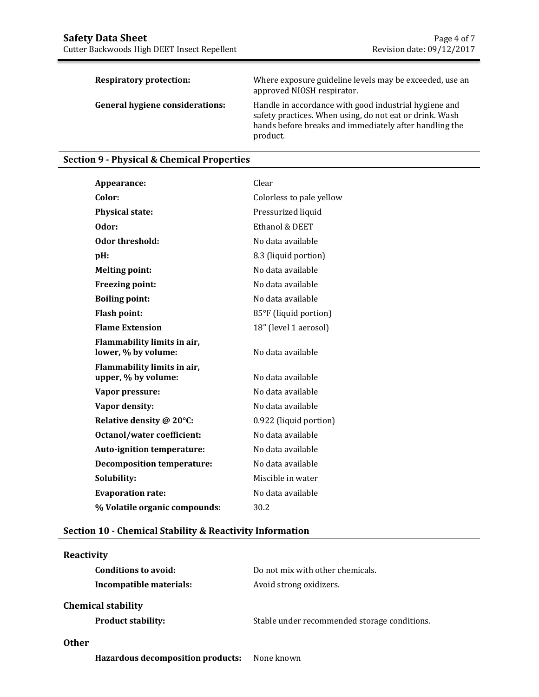| <b>Respiratory protection:</b>         | Where exposure guideline levels may be exceeded, use an<br>approved NIOSH respirator.                                                                                                  |
|----------------------------------------|----------------------------------------------------------------------------------------------------------------------------------------------------------------------------------------|
| <b>General hygiene considerations:</b> | Handle in accordance with good industrial hygiene and<br>safety practices. When using, do not eat or drink. Wash<br>hands before breaks and immediately after handling the<br>product. |

# **Section 9 - Physical & Chemical Properties**

| Appearance:                                        | Clear                    |
|----------------------------------------------------|--------------------------|
| Color:                                             | Colorless to pale yellow |
| <b>Physical state:</b>                             | Pressurized liquid       |
| Odor:                                              | Ethanol & DEET           |
| Odor threshold:                                    | No data available        |
| pH:                                                | 8.3 (liquid portion)     |
| <b>Melting point:</b>                              | No data available        |
| Freezing point:                                    | No data available        |
| <b>Boiling point:</b>                              | No data available        |
| <b>Flash point:</b>                                | 85°F (liquid portion)    |
| <b>Flame Extension</b>                             | 18" (level 1 aerosol)    |
| Flammability limits in air,<br>lower, % by volume: | No data available        |
| Flammability limits in air,<br>upper, % by volume: | No data available        |
| Vapor pressure:                                    | No data available        |
| Vapor density:                                     | No data available        |
| Relative density @ 20°C:                           | 0.922 (liquid portion)   |
| <b>Octanol/water coefficient:</b>                  | No data available        |
| <b>Auto-ignition temperature:</b>                  | No data available        |
| <b>Decomposition temperature:</b>                  | No data available        |
| Solubility:                                        | Miscible in water        |
| <b>Evaporation rate:</b>                           | No data available        |
| % Volatile organic compounds:                      | 30.2                     |

# **Section 10 - Chemical Stability & Reactivity Information**

| <b>Reactivity</b>         |                                              |
|---------------------------|----------------------------------------------|
| Conditions to avoid:      | Do not mix with other chemicals.             |
| Incompatible materials:   | Avoid strong oxidizers.                      |
| <b>Chemical stability</b> |                                              |
| <b>Product stability:</b> | Stable under recommended storage conditions. |
|                           |                                              |

# **Other**

**Hazardous decomposition products:** None known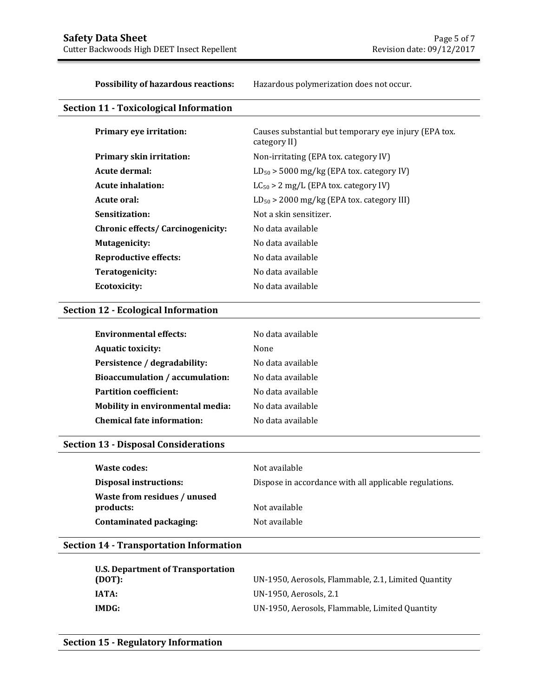**Possibility of hazardous reactions:** Hazardous polymerization does not occur.

# **Section 11 - Toxicological Information**

| Primary eye irritation:           | Causes substantial but temporary eye injury (EPA tox.<br>category II) |
|-----------------------------------|-----------------------------------------------------------------------|
| <b>Primary skin irritation:</b>   | Non-irritating (EPA tox. category IV)                                 |
| Acute dermal:                     | $LD_{50}$ > 5000 mg/kg (EPA tox. category IV)                         |
| Acute inhalation:                 | $LC_{50} > 2$ mg/L (EPA tox. category IV)                             |
| Acute oral:                       | $LD_{50}$ > 2000 mg/kg (EPA tox. category III)                        |
| Sensitization:                    | Not a skin sensitizer.                                                |
| Chronic effects/ Carcinogenicity: | No data available                                                     |
| Mutagenicity:                     | No data available                                                     |
| Reproductive effects:             | No data available                                                     |
| Teratogenicity:                   | No data available                                                     |
| Ecotoxicity:                      | No data available                                                     |

# **Section 12 - Ecological Information**

| <b>Environmental effects:</b>     | No data available |
|-----------------------------------|-------------------|
| <b>Aquatic toxicity:</b>          | None              |
| Persistence / degradability:      | No data available |
| Bioaccumulation / accumulation:   | No data available |
| <b>Partition coefficient:</b>     | No data available |
| Mobility in environmental media:  | No data available |
| <b>Chemical fate information:</b> | No data available |

# **Section 13 - Disposal Considerations**

| Waste codes:                              | Not available                                          |
|-------------------------------------------|--------------------------------------------------------|
| <b>Disposal instructions:</b>             | Dispose in accordance with all applicable regulations. |
| Waste from residues / unused<br>products: | Not available                                          |
| Contaminated packaging:                   | Not available                                          |

# **Section 14 - Transportation Information**

| U.S. Department of Transportation<br>(DOT): | UN-1950, Aerosols, Flammable, 2.1, Limited Quantity |
|---------------------------------------------|-----------------------------------------------------|
| <b>IATA:</b>                                | UN-1950, Aerosols, 2.1                              |
| IMDG:                                       | UN-1950, Aerosols, Flammable, Limited Quantity      |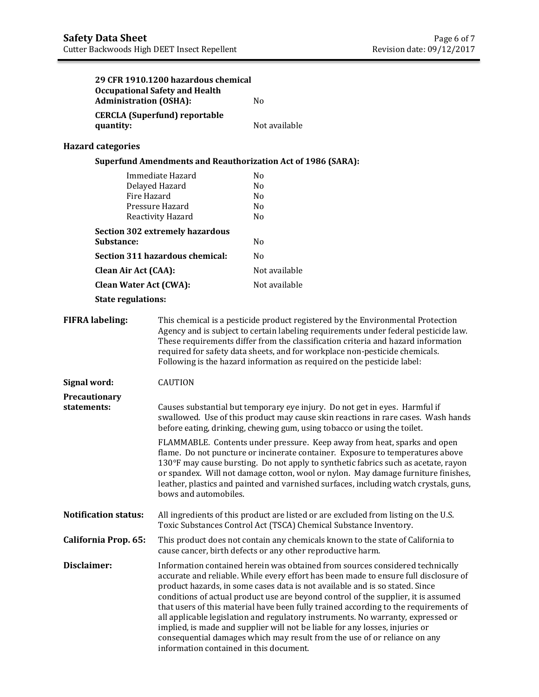|                              | <b>Administration (OSHA):</b>                        | 29 CFR 1910.1200 hazardous chemical<br><b>Occupational Safety and Health</b>                                                                                                                                                                 | N <sub>o</sub>                                                                                                                                                                                                                                                                                                                                                                                                                                                                                                                                                                                                                                                                                                                  |  |  |
|------------------------------|------------------------------------------------------|----------------------------------------------------------------------------------------------------------------------------------------------------------------------------------------------------------------------------------------------|---------------------------------------------------------------------------------------------------------------------------------------------------------------------------------------------------------------------------------------------------------------------------------------------------------------------------------------------------------------------------------------------------------------------------------------------------------------------------------------------------------------------------------------------------------------------------------------------------------------------------------------------------------------------------------------------------------------------------------|--|--|
|                              | quantity:                                            | <b>CERCLA (Superfund) reportable</b>                                                                                                                                                                                                         | Not available                                                                                                                                                                                                                                                                                                                                                                                                                                                                                                                                                                                                                                                                                                                   |  |  |
|                              | <b>Hazard categories</b>                             |                                                                                                                                                                                                                                              |                                                                                                                                                                                                                                                                                                                                                                                                                                                                                                                                                                                                                                                                                                                                 |  |  |
|                              |                                                      |                                                                                                                                                                                                                                              | <b>Superfund Amendments and Reauthorization Act of 1986 (SARA):</b>                                                                                                                                                                                                                                                                                                                                                                                                                                                                                                                                                                                                                                                             |  |  |
|                              | Immediate Hazard<br>Delayed Hazard                   |                                                                                                                                                                                                                                              | N <sub>0</sub><br>N <sub>0</sub>                                                                                                                                                                                                                                                                                                                                                                                                                                                                                                                                                                                                                                                                                                |  |  |
|                              | Fire Hazard<br>Pressure Hazard<br>Reactivity Hazard  |                                                                                                                                                                                                                                              | N <sub>0</sub><br>N <sub>0</sub><br>N <sub>0</sub>                                                                                                                                                                                                                                                                                                                                                                                                                                                                                                                                                                                                                                                                              |  |  |
|                              | <b>Section 302 extremely hazardous</b><br>Substance: |                                                                                                                                                                                                                                              | N <sub>0</sub>                                                                                                                                                                                                                                                                                                                                                                                                                                                                                                                                                                                                                                                                                                                  |  |  |
|                              |                                                      | Section 311 hazardous chemical:                                                                                                                                                                                                              | N <sub>0</sub>                                                                                                                                                                                                                                                                                                                                                                                                                                                                                                                                                                                                                                                                                                                  |  |  |
|                              | <b>Clean Air Act (CAA):</b>                          |                                                                                                                                                                                                                                              | Not available                                                                                                                                                                                                                                                                                                                                                                                                                                                                                                                                                                                                                                                                                                                   |  |  |
|                              | <b>Clean Water Act (CWA):</b>                        |                                                                                                                                                                                                                                              | Not available                                                                                                                                                                                                                                                                                                                                                                                                                                                                                                                                                                                                                                                                                                                   |  |  |
|                              | <b>State regulations:</b>                            |                                                                                                                                                                                                                                              |                                                                                                                                                                                                                                                                                                                                                                                                                                                                                                                                                                                                                                                                                                                                 |  |  |
|                              | <b>FIFRA labeling:</b>                               |                                                                                                                                                                                                                                              | This chemical is a pesticide product registered by the Environmental Protection<br>Agency and is subject to certain labeling requirements under federal pesticide law.<br>These requirements differ from the classification criteria and hazard information<br>required for safety data sheets, and for workplace non-pesticide chemicals.<br>Following is the hazard information as required on the pesticide label:                                                                                                                                                                                                                                                                                                           |  |  |
| Signal word:                 |                                                      | <b>CAUTION</b>                                                                                                                                                                                                                               |                                                                                                                                                                                                                                                                                                                                                                                                                                                                                                                                                                                                                                                                                                                                 |  |  |
| Precautionary<br>statements: |                                                      | Causes substantial but temporary eye injury. Do not get in eyes. Harmful if<br>swallowed. Use of this product may cause skin reactions in rare cases. Wash hands<br>before eating, drinking, chewing gum, using tobacco or using the toilet. |                                                                                                                                                                                                                                                                                                                                                                                                                                                                                                                                                                                                                                                                                                                                 |  |  |
|                              |                                                      | bows and automobiles.                                                                                                                                                                                                                        | FLAMMABLE. Contents under pressure. Keep away from heat, sparks and open<br>flame. Do not puncture or incinerate container. Exposure to temperatures above<br>130°F may cause bursting. Do not apply to synthetic fabrics such as acetate, rayon<br>or spandex. Will not damage cotton, wool or nylon. May damage furniture finishes,<br>leather, plastics and painted and varnished surfaces, including watch crystals, guns,                                                                                                                                                                                                                                                                                                  |  |  |
|                              | <b>Notification status:</b>                          | All ingredients of this product are listed or are excluded from listing on the U.S.<br>Toxic Substances Control Act (TSCA) Chemical Substance Inventory.                                                                                     |                                                                                                                                                                                                                                                                                                                                                                                                                                                                                                                                                                                                                                                                                                                                 |  |  |
|                              | California Prop. 65:                                 | This product does not contain any chemicals known to the state of California to<br>cause cancer, birth defects or any other reproductive harm.                                                                                               |                                                                                                                                                                                                                                                                                                                                                                                                                                                                                                                                                                                                                                                                                                                                 |  |  |
| Disclaimer:                  |                                                      |                                                                                                                                                                                                                                              | Information contained herein was obtained from sources considered technically<br>accurate and reliable. While every effort has been made to ensure full disclosure of<br>product hazards, in some cases data is not available and is so stated. Since<br>conditions of actual product use are beyond control of the supplier, it is assumed<br>that users of this material have been fully trained according to the requirements of<br>all applicable legislation and regulatory instruments. No warranty, expressed or<br>implied, is made and supplier will not be liable for any losses, injuries or<br>consequential damages which may result from the use of or reliance on any<br>information contained in this document. |  |  |